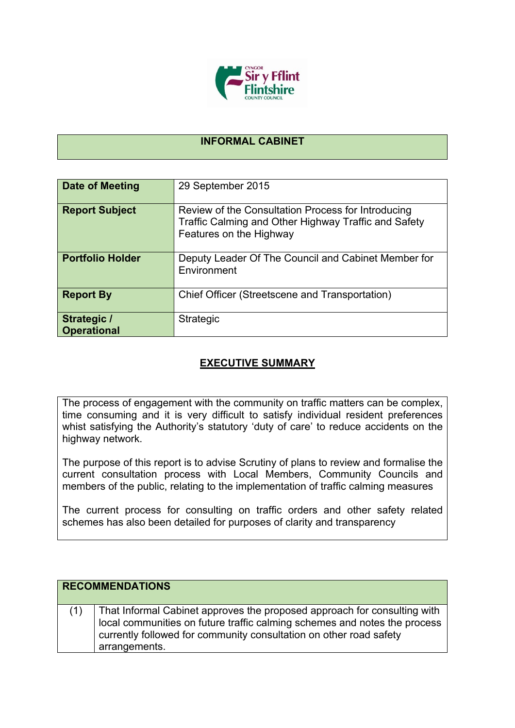

## **INFORMAL CABINET**

| Date of Meeting                          | 29 September 2015                                                                                                                     |
|------------------------------------------|---------------------------------------------------------------------------------------------------------------------------------------|
| <b>Report Subject</b>                    | Review of the Consultation Process for Introducing<br>Traffic Calming and Other Highway Traffic and Safety<br>Features on the Highway |
| <b>Portfolio Holder</b>                  | Deputy Leader Of The Council and Cabinet Member for<br>Environment                                                                    |
| <b>Report By</b>                         | Chief Officer (Streetscene and Transportation)                                                                                        |
| <b>Strategic /</b><br><b>Operational</b> | Strategic                                                                                                                             |

## **EXECUTIVE SUMMARY**

The process of engagement with the community on traffic matters can be complex, time consuming and it is very difficult to satisfy individual resident preferences whist satisfying the Authority's statutory 'duty of care' to reduce accidents on the highway network.

The purpose of this report is to advise Scrutiny of plans to review and formalise the current consultation process with Local Members, Community Councils and members of the public, relating to the implementation of traffic calming measures

The current process for consulting on traffic orders and other safety related schemes has also been detailed for purposes of clarity and transparency

| <b>RECOMMENDATIONS</b> |                                                                                                                                                                                                                                              |  |
|------------------------|----------------------------------------------------------------------------------------------------------------------------------------------------------------------------------------------------------------------------------------------|--|
| (1)                    | That Informal Cabinet approves the proposed approach for consulting with<br>local communities on future traffic calming schemes and notes the process<br>currently followed for community consultation on other road safety<br>arrangements. |  |
|                        |                                                                                                                                                                                                                                              |  |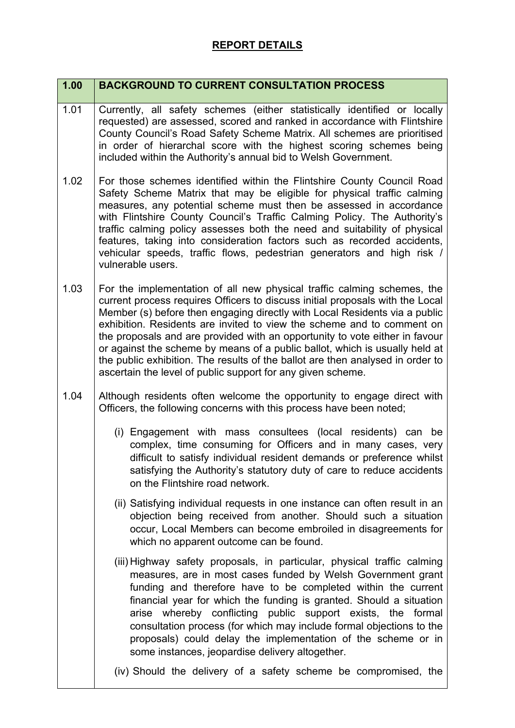## **REPORT DETAILS**

| 1.00 | <b>BACKGROUND TO CURRENT CONSULTATION PROCESS</b>                                                                                                                                                                                                                                                                                                                                                                                                                                                                                                                                                                               |
|------|---------------------------------------------------------------------------------------------------------------------------------------------------------------------------------------------------------------------------------------------------------------------------------------------------------------------------------------------------------------------------------------------------------------------------------------------------------------------------------------------------------------------------------------------------------------------------------------------------------------------------------|
| 1.01 | Currently, all safety schemes (either statistically identified or locally<br>requested) are assessed, scored and ranked in accordance with Flintshire<br>County Council's Road Safety Scheme Matrix. All schemes are prioritised<br>in order of hierarchal score with the highest scoring schemes being<br>included within the Authority's annual bid to Welsh Government.                                                                                                                                                                                                                                                      |
| 1.02 | For those schemes identified within the Flintshire County Council Road<br>Safety Scheme Matrix that may be eligible for physical traffic calming<br>measures, any potential scheme must then be assessed in accordance<br>with Flintshire County Council's Traffic Calming Policy. The Authority's<br>traffic calming policy assesses both the need and suitability of physical<br>features, taking into consideration factors such as recorded accidents,<br>vehicular speeds, traffic flows, pedestrian generators and high risk /<br>vulnerable users.                                                                       |
| 1.03 | For the implementation of all new physical traffic calming schemes, the<br>current process requires Officers to discuss initial proposals with the Local<br>Member (s) before then engaging directly with Local Residents via a public<br>exhibition. Residents are invited to view the scheme and to comment on<br>the proposals and are provided with an opportunity to vote either in favour<br>or against the scheme by means of a public ballot, which is usually held at<br>the public exhibition. The results of the ballot are then analysed in order to<br>ascertain the level of public support for any given scheme. |
| 1.04 | Although residents often welcome the opportunity to engage direct with<br>Officers, the following concerns with this process have been noted;                                                                                                                                                                                                                                                                                                                                                                                                                                                                                   |
|      | (i) Engagement with mass consultees (local residents) can be<br>complex, time consuming for Officers and in many cases, very<br>difficult to satisfy individual resident demands or preference whilst<br>satisfying the Authority's statutory duty of care to reduce accidents<br>on the Flintshire road network.                                                                                                                                                                                                                                                                                                               |
|      | (ii) Satisfying individual requests in one instance can often result in an<br>objection being received from another. Should such a situation<br>occur, Local Members can become embroiled in disagreements for<br>which no apparent outcome can be found.                                                                                                                                                                                                                                                                                                                                                                       |
|      | (iii) Highway safety proposals, in particular, physical traffic calming<br>measures, are in most cases funded by Welsh Government grant<br>funding and therefore have to be completed within the current<br>financial year for which the funding is granted. Should a situation<br>arise whereby conflicting public support exists, the formal<br>consultation process (for which may include formal objections to the<br>proposals) could delay the implementation of the scheme or in<br>some instances, jeopardise delivery altogether.                                                                                      |
|      | (iv) Should the delivery of a safety scheme be compromised, the                                                                                                                                                                                                                                                                                                                                                                                                                                                                                                                                                                 |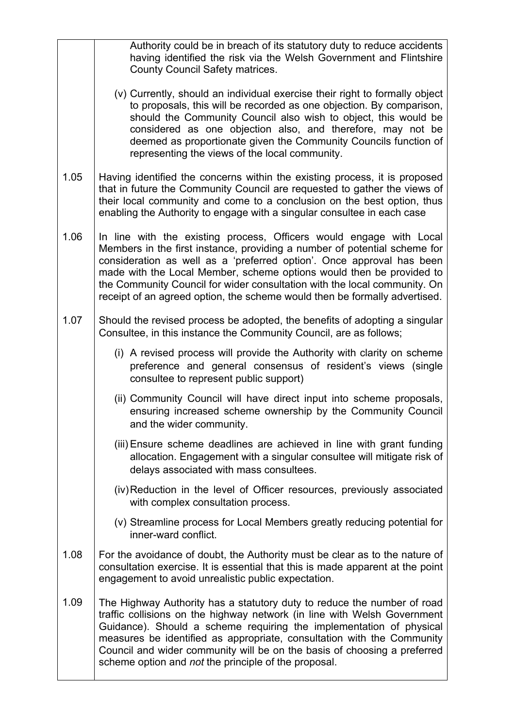|      | Authority could be in breach of its statutory duty to reduce accidents<br>having identified the risk via the Welsh Government and Flintshire<br><b>County Council Safety matrices.</b>                                                                                                                                                                                                                                                                       |
|------|--------------------------------------------------------------------------------------------------------------------------------------------------------------------------------------------------------------------------------------------------------------------------------------------------------------------------------------------------------------------------------------------------------------------------------------------------------------|
|      | (v) Currently, should an individual exercise their right to formally object<br>to proposals, this will be recorded as one objection. By comparison,<br>should the Community Council also wish to object, this would be<br>considered as one objection also, and therefore, may not be<br>deemed as proportionate given the Community Councils function of<br>representing the views of the local community.                                                  |
| 1.05 | Having identified the concerns within the existing process, it is proposed<br>that in future the Community Council are requested to gather the views of<br>their local community and come to a conclusion on the best option, thus<br>enabling the Authority to engage with a singular consultee in each case                                                                                                                                                |
| 1.06 | In line with the existing process, Officers would engage with Local<br>Members in the first instance, providing a number of potential scheme for<br>consideration as well as a 'preferred option'. Once approval has been<br>made with the Local Member, scheme options would then be provided to<br>the Community Council for wider consultation with the local community. On<br>receipt of an agreed option, the scheme would then be formally advertised. |
| 1.07 | Should the revised process be adopted, the benefits of adopting a singular<br>Consultee, in this instance the Community Council, are as follows;                                                                                                                                                                                                                                                                                                             |
|      | (i) A revised process will provide the Authority with clarity on scheme<br>preference and general consensus of resident's views (single<br>consultee to represent public support)                                                                                                                                                                                                                                                                            |
|      | (ii) Community Council will have direct input into scheme proposals,<br>ensuring increased scheme ownership by the Community Council<br>and the wider community.                                                                                                                                                                                                                                                                                             |
|      | (iii) Ensure scheme deadlines are achieved in line with grant funding<br>allocation. Engagement with a singular consultee will mitigate risk of<br>delays associated with mass consultees.                                                                                                                                                                                                                                                                   |
|      | (iv) Reduction in the level of Officer resources, previously associated<br>with complex consultation process.                                                                                                                                                                                                                                                                                                                                                |
|      | (v) Streamline process for Local Members greatly reducing potential for<br>inner-ward conflict.                                                                                                                                                                                                                                                                                                                                                              |
| 1.08 | For the avoidance of doubt, the Authority must be clear as to the nature of<br>consultation exercise. It is essential that this is made apparent at the point<br>engagement to avoid unrealistic public expectation.                                                                                                                                                                                                                                         |
| 1.09 | The Highway Authority has a statutory duty to reduce the number of road<br>traffic collisions on the highway network (in line with Welsh Government<br>Guidance). Should a scheme requiring the implementation of physical<br>measures be identified as appropriate, consultation with the Community<br>Council and wider community will be on the basis of choosing a preferred<br>scheme option and not the principle of the proposal.                     |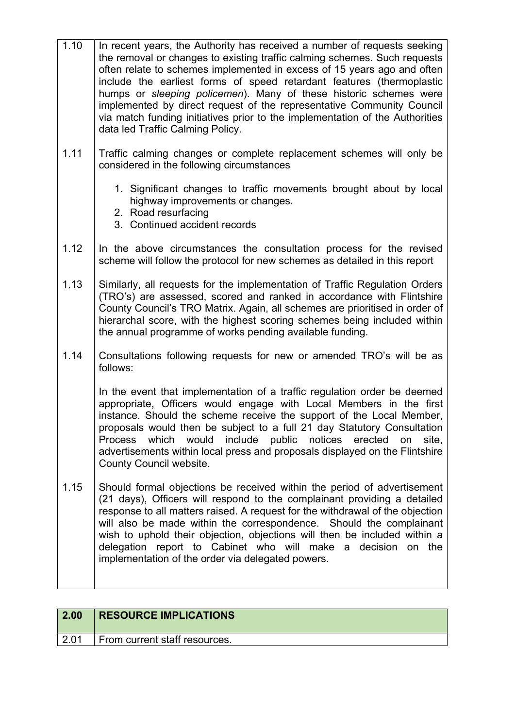| 1.10 | In recent years, the Authority has received a number of requests seeking<br>the removal or changes to existing traffic calming schemes. Such requests<br>often relate to schemes implemented in excess of 15 years ago and often<br>include the earliest forms of speed retardant features (thermoplastic<br>humps or sleeping policemen). Many of these historic schemes were<br>implemented by direct request of the representative Community Council<br>via match funding initiatives prior to the implementation of the Authorities<br>data led Traffic Calming Policy. |
|------|-----------------------------------------------------------------------------------------------------------------------------------------------------------------------------------------------------------------------------------------------------------------------------------------------------------------------------------------------------------------------------------------------------------------------------------------------------------------------------------------------------------------------------------------------------------------------------|
| 1.11 | Traffic calming changes or complete replacement schemes will only be<br>considered in the following circumstances                                                                                                                                                                                                                                                                                                                                                                                                                                                           |
|      | 1. Significant changes to traffic movements brought about by local<br>highway improvements or changes.<br>2. Road resurfacing<br>3. Continued accident records                                                                                                                                                                                                                                                                                                                                                                                                              |
| 1.12 | In the above circumstances the consultation process for the revised<br>scheme will follow the protocol for new schemes as detailed in this report                                                                                                                                                                                                                                                                                                                                                                                                                           |
| 1.13 | Similarly, all requests for the implementation of Traffic Regulation Orders<br>(TRO's) are assessed, scored and ranked in accordance with Flintshire<br>County Council's TRO Matrix. Again, all schemes are prioritised in order of<br>hierarchal score, with the highest scoring schemes being included within<br>the annual programme of works pending available funding.                                                                                                                                                                                                 |
| 1.14 | Consultations following requests for new or amended TRO's will be as<br>follows:                                                                                                                                                                                                                                                                                                                                                                                                                                                                                            |
|      | In the event that implementation of a traffic regulation order be deemed<br>appropriate, Officers would engage with Local Members in the first<br>instance. Should the scheme receive the support of the Local Member,<br>proposals would then be subject to a full 21 day Statutory Consultation<br>which<br>would<br>include<br>public<br>notices<br>erected<br>site.<br><b>Process</b><br>on<br>advertisements within local press and proposals displayed on the Flintshire<br>County Council website.                                                                   |
| 1.15 | Should formal objections be received within the period of advertisement<br>(21 days), Officers will respond to the complainant providing a detailed<br>response to all matters raised. A request for the withdrawal of the objection<br>will also be made within the correspondence. Should the complainant<br>wish to uphold their objection, objections will then be included within a<br>delegation report to Cabinet who will make a decision on the<br>implementation of the order via delegated powers.                                                               |

| 2.00 | <b>RESOURCE IMPLICATIONS</b>  |
|------|-------------------------------|
| 2.01 | From current staff resources. |